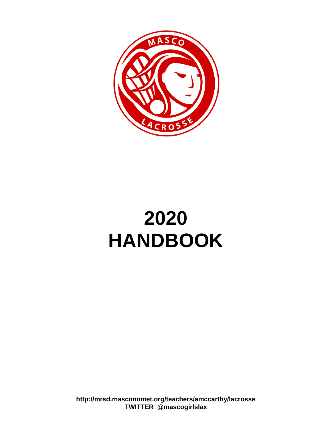

## **2020 HANDBOOK**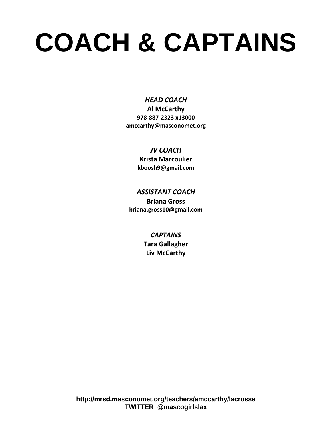# **COACH & CAPTAINS**

*HEAD COACH* **Al McCarthy 978-887-2323 x13000 amccarthy@masconomet.org**

> *JV COACH* **Krista Marcoulier kboosh9@gmail.com**

*ASSISTANT COACH* **Briana Gross briana.gross10@gmail.com**

> *CAPTAINS* **Tara Gallagher Liv McCarthy**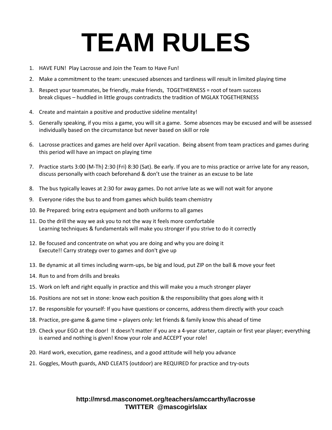# **TEAM RULES**

- 1. HAVE FUN! Play Lacrosse and Join the Team to Have Fun!
- 2. Make a commitment to the team: unexcused absences and tardiness will result in limited playing time
- 3. Respect your teammates, be friendly, make friends, TOGETHERNESS = root of team success break cliques – huddled in little groups contradicts the tradition of MGLAX TOGETHERNESS
- 4. Create and maintain a positive and productive sideline mentality!
- 5. Generally speaking, if you miss a game, you will sit a game. Some absences may be excused and will be assessed individually based on the circumstance but never based on skill or role
- 6. Lacrosse practices and games are held over April vacation. Being absent from team practices and games during this period will have an impact on playing time
- 7. Practice starts 3:00 (M-Th) 2:30 (Fri) 8:30 (Sat). Be early. If you are to miss practice or arrive late for any reason, discuss personally with coach beforehand & don't use the trainer as an excuse to be late
- 8. The bus typically leaves at 2:30 for away games. Do not arrive late as we will not wait for anyone
- 9. Everyone rides the bus to and from games which builds team chemistry
- 10. Be Prepared: bring extra equipment and both uniforms to all games
- 11. Do the drill the way we ask you to not the way it feels more comfortable Learning techniques & fundamentals will make you stronger if you strive to do it correctly
- 12. Be focused and concentrate on what you are doing and why you are doing it Execute!! Carry strategy over to games and don't give up
- 13. Be dynamic at all times including warm-ups, be big and loud, put ZIP on the ball & move your feet
- 14. Run to and from drills and breaks
- 15. Work on left and right equally in practice and this will make you a much stronger player
- 16. Positions are not set in stone: know each position & the responsibility that goes along with it
- 17. Be responsible for yourself: If you have questions or concerns, address them directly with your coach
- 18. Practice, pre-game & game time = players only: let friends & family know this ahead of time
- 19. Check your EGO at the door! It doesn't matter if you are a 4-year starter, captain or first year player; everything is earned and nothing is given! Know your role and ACCEPT your role!
- 20. Hard work, execution, game readiness, and a good attitude will help you advance
- 21. Goggles, Mouth guards, AND CLEATS (outdoor) are REQUIRED for practice and try-outs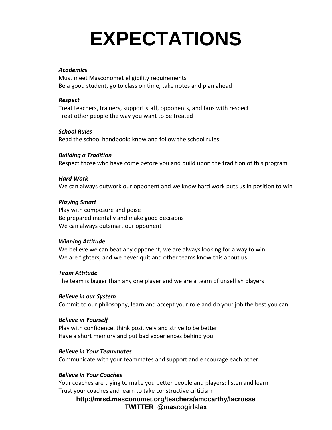## **EXPECTATIONS**

#### *Academics*

Must meet Masconomet eligibility requirements Be a good student, go to class on time, take notes and plan ahead

#### *Respect*

Treat teachers, trainers, support staff, opponents, and fans with respect Treat other people the way you want to be treated

#### *School Rules*

Read the school handbook: know and follow the school rules

#### *Building a Tradition*

Respect those who have come before you and build upon the tradition of this program

#### *Hard Work*

We can always outwork our opponent and we know hard work puts us in position to win

### *Playing Smart*

Play with composure and poise Be prepared mentally and make good decisions We can always outsmart our opponent

#### *Winning Attitude*

We believe we can beat any opponent, we are always looking for a way to win We are fighters, and we never quit and other teams know this about us

#### *Team Attitude*

The team is bigger than any one player and we are a team of unselfish players

#### *Believe in our System*

Commit to our philosophy, learn and accept your role and do your job the best you can

#### *Believe in Yourself*

Play with confidence, think positively and strive to be better Have a short memory and put bad experiences behind you

#### *Believe in Your Teammates*

Communicate with your teammates and support and encourage each other

### *Believe in Your Coaches*

Your coaches are trying to make you better people and players: listen and learn Trust your coaches and learn to take constructive criticism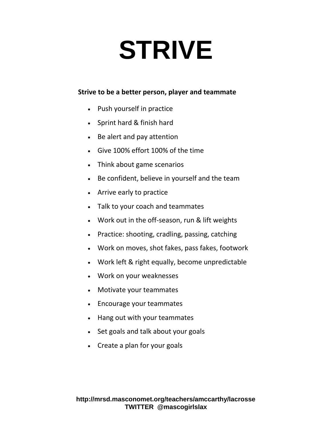# **STRIVE**

### **Strive to be a better person, player and teammate**

- Push yourself in practice
- Sprint hard & finish hard
- Be alert and pay attention
- Give 100% effort 100% of the time
- Think about game scenarios
- Be confident, believe in yourself and the team
- Arrive early to practice
- Talk to your coach and teammates
- Work out in the off-season, run & lift weights
- Practice: shooting, cradling, passing, catching
- Work on moves, shot fakes, pass fakes, footwork
- Work left & right equally, become unpredictable
- Work on your weaknesses
- Motivate your teammates
- Encourage your teammates
- Hang out with your teammates
- Set goals and talk about your goals
- Create a plan for your goals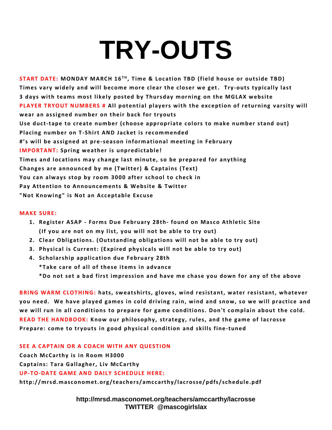# **TRY-OUTS**

**ST ART DATE: MONDAY MARCH 16 T H , T ime & Loc ation TBD (field house or outside T BD)** Times vary widely and will become more clear the closer we get. Try-outs typically last **3 days with teams most likely posted by Thursday morning on the MGLAX w ebsite PLAYER TRYOUT NUMBERS # All potential players with the exception of returning varsity will** wear an assigned number on their back for tryouts Use duct-tape to create number (choose appropriate colors to make number stand out) **Placing number on T-Shirt AND Jacket is recommended #'s will be assigned at pre -season informational meeting in February IMPORTANT:** Spring weather is unpredictable! **T imes and loc ations may c hange last minute, so be prepared for anything** Changes are announced by me (Twitter) & Captains (Text) You can always stop by room 3000 after school to check in **Pay Attention to Announcements & Website & Twitter** "Not Knowing" is Not an Acceptable Excuse

#### **MAKE SURE:**

- **1. Register ASAP - Forms Due February 28th- found on Masc o Athletic Site (If you are not on my list, you w ill not be able to try out)**
- **2. Clear Obligations. (Outstanding obligations will not be able to try out)**
- **3. Physic al is Current: (Expired physic als wi ll not be able to try out)**
- **4. Sc holarship applic ation due February 28th**

**\*T ake c are of all of these items in adv ance**

\*Do not set a bad first impression and have me chase you down for any of the above

BRING WARM CLOTHING: hats, sweatshirts, gloves, wind resistant, water resistant, whatever you need. We have played games in cold driving rain, wind and snow, so we will practice and we will run in all conditions to prepare for game conditions. Don't complain about the cold. **READ THE HANDBOOK: Know our philosophy, strategy, rules, and the game of lacrosse Prepare: come to tryouts in good physic al c ondition and skills fine-tuned**

**SEE A CAPTAIN OR A COACH WITH ANY QUESTION Coac h McCarthy is in Room H3000 Captains: Tara Gallagher, Liv McCarthy UP-T O-DAT E GAME AND DAILY SCHEDULE HERE: http://mrsd.masc onomet.org/teac hers/amc c arthy/lac rosse/pdfs/sc hedule.pdf**